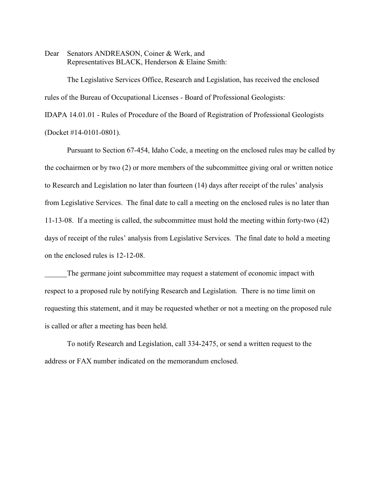Dear Senators ANDREASON, Coiner & Werk, and Representatives BLACK, Henderson & Elaine Smith:

The Legislative Services Office, Research and Legislation, has received the enclosed rules of the Bureau of Occupational Licenses - Board of Professional Geologists:

IDAPA 14.01.01 - Rules of Procedure of the Board of Registration of Professional Geologists (Docket #14-0101-0801).

Pursuant to Section 67-454, Idaho Code, a meeting on the enclosed rules may be called by the cochairmen or by two (2) or more members of the subcommittee giving oral or written notice to Research and Legislation no later than fourteen (14) days after receipt of the rules' analysis from Legislative Services. The final date to call a meeting on the enclosed rules is no later than 11-13-08. If a meeting is called, the subcommittee must hold the meeting within forty-two (42) days of receipt of the rules' analysis from Legislative Services. The final date to hold a meeting on the enclosed rules is 12-12-08.

The germane joint subcommittee may request a statement of economic impact with respect to a proposed rule by notifying Research and Legislation. There is no time limit on requesting this statement, and it may be requested whether or not a meeting on the proposed rule is called or after a meeting has been held.

To notify Research and Legislation, call 334-2475, or send a written request to the address or FAX number indicated on the memorandum enclosed.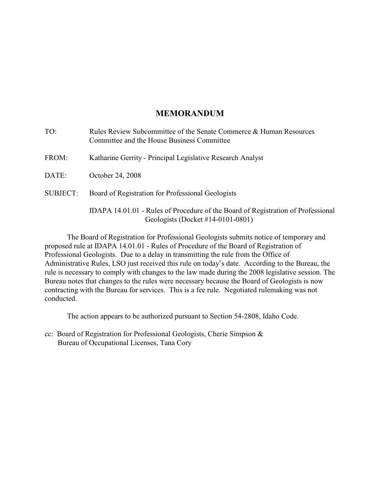# **MEMORANDUM**

| TO:             | Rules Review Subcommittee of the Senate Commerce & Human Resources<br>Committee and the House Business Committee      |
|-----------------|-----------------------------------------------------------------------------------------------------------------------|
| FROM:           | Katharine Gerrity - Principal Legislative Research Analyst                                                            |
| DATE:           | October 24, 2008                                                                                                      |
| <b>SUBJECT:</b> | Board of Registration for Professional Geologists                                                                     |
|                 | IDAPA 14.01.01 - Rules of Procedure of the Board of Registration of Professional<br>Geologists (Docket #14-0101-0801) |

The Board of Registration for Professional Geologists submits notice of temporary and proposed rule at IDAPA 14.01.01 - Rules of Procedure of the Board of Registration of Professional Geologists. Due to a delay in transmitting the rule from the Office of Administrative Rules, LSO just received this rule on today's date. According to the Bureau, the rule is necessary to comply with changes to the law made during the 2008 legislative session. The Bureau notes that changes to the rules were necessary because the Board of Geologists is now contracting with the Bureau for services. This is a fee rule. Negotiated rulemaking was not conducted.

The action appears to be authorized pursuant to Section 54-2808, Idaho Code.

cc: Board of Registration for Professional Geologists, Cherie Simpson & Bureau of Occupational Licenses, Tana Cory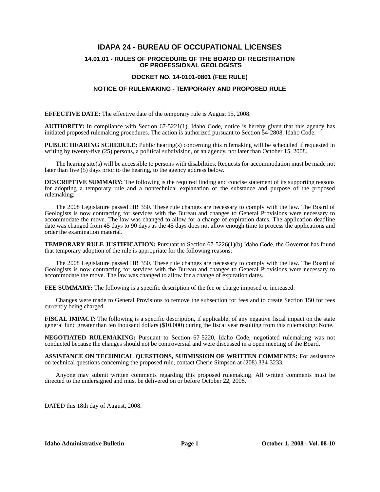# **IDAPA 24 - BUREAU OF OCCUPATIONAL LICENSES**

#### **14.01.01 - RULES OF PROCEDURE OF THE BOARD OF REGISTRATION OF PROFESSIONAL GEOLOGISTS**

### **DOCKET NO. 14-0101-0801 (FEE RULE)**

# **NOTICE OF RULEMAKING - TEMPORARY AND PROPOSED RULE**

**EFFECTIVE DATE:** The effective date of the temporary rule is August 15, 2008.

**AUTHORITY:** In compliance with Section 67-5221(1), Idaho Code, notice is hereby given that this agency has initiated proposed rulemaking procedures. The action is authorized pursuant to Section 54-2808, Idaho Code.

**PUBLIC HEARING SCHEDULE:** Public hearing(s) concerning this rulemaking will be scheduled if requested in writing by twenty-five (25) persons, a political subdivision, or an agency, not later than October 15, 2008.

The hearing site(s) will be accessible to persons with disabilities. Requests for accommodation must be made not later than five (5) days prior to the hearing, to the agency address below.

**DESCRIPTIVE SUMMARY:** The following is the required finding and concise statement of its supporting reasons for adopting a temporary rule and a nontechnical explanation of the substance and purpose of the proposed rulemaking:

The 2008 Legislature passed HB 350. These rule changes are necessary to comply with the law. The Board of Geologists is now contracting for services with the Bureau and changes to General Provisions were necessary to accommodate the move. The law was changed to allow for a change of expiration dates. The application deadline date was changed from 45 days to 90 days as the 45 days does not allow enough time to process the applications and order the examination material.

**TEMPORARY RULE JUSTIFICATION:** Pursuant to Section 67-5226(1)(b) Idaho Code, the Governor has found that temporary adoption of the rule is appropriate for the following reasons:

The 2008 Legislature passed HB 350. These rule changes are necessary to comply with the law. The Board of Geologists is now contracting for services with the Bureau and changes to General Provisions were necessary to accommodate the move. The law was changed to allow for a change of expiration dates.

**FEE SUMMARY:** The following is a specific description of the fee or charge imposed or increased:

Changes were made to General Provisions to remove the subsection for fees and to create Section 150 for fees currently being charged.

**FISCAL IMPACT:** The following is a specific description, if applicable, of any negative fiscal impact on the state general fund greater than ten thousand dollars (\$10,000) during the fiscal year resulting from this rulemaking: None.

**NEGOTIATED RULEMAKING:** Pursuant to Section 67-5220, Idaho Code, negotiated rulemaking was not conducted because the changes should not be controversial and were discussed in a open meeting of the Board.

**ASSISTANCE ON TECHNICAL QUESTIONS, SUBMISSION OF WRITTEN COMMENTS:** For assistance on technical questions concerning the proposed rule, contact Cherie Simpson at (208) 334-3233.

Anyone may submit written comments regarding this proposed rulemaking. All written comments must be directed to the undersigned and must be delivered on or before October 22, 2008.

DATED this 18th day of August, 2008.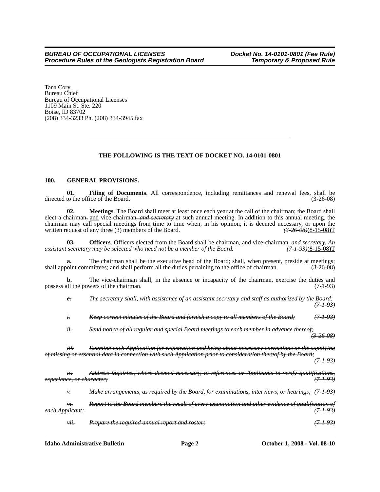Tana Cory Bureau Chief Bureau of Occupational Licenses 1109 Main St. Ste. 220 Boise, ID 83702 (208) 334-3233 Ph. (208) 334-3945,fax

# **THE FOLLOWING IS THE TEXT OF DOCKET NO. 14-0101-0801**

#### **100. GENERAL PROVISIONS.**

**01. Filing of Documents**. All correspondence, including remittances and renewal fees, shall be directed to the office of the Board. (3-26-08)

**02. Meetings**. The Board shall meet at least once each year at the call of the chairman; the Board shall elect a chairman*,* and vice-chairman*, and secretary* at such annual meeting. In addition to this annual meeting, the chairman may call special meetings from time to time when, in his opinion, it is deemed necessary, or upon the written request of any three (3) members of the Board.  $\left(3\right)$   $\left(3\right)$   $\left(3\right)$   $\left(3\right)$   $\left(4\right)$   $\left(3$ written request of any three (3) members of the Board.

03. **Officers**. Officers elected from the Board shall be chairman<sub>r</sub> and vice-chairman, and secretary. An secretary may be selected who need not be a member of the Board. (7.1.93)(8-15-08) *assistant secretary may be selected who need not be a member of the Board.* 

**a.** The chairman shall be the executive head of the Board; shall, when present, preside at meetings; shall appoint committees; and shall perform all the duties pertaining to the office of chairman. (3-26-08)

**b.** The vice-chairman shall, in the absence or incapacity of the chairman, exercise the duties and all the powers of the chairman. (7-1-93) possess all the powers of the chairman.

|                            | $e_{\overline{\cdot}}$               | The secretary shall, with assistance of an assistant secretary and staff as authorized by the                                                                                                          | $+93)$               |
|----------------------------|--------------------------------------|--------------------------------------------------------------------------------------------------------------------------------------------------------------------------------------------------------|----------------------|
|                            | t.                                   | Keep correct minutes of the Board and furnish a copy to all members of the Board;                                                                                                                      | ' <del>7-1-93)</del> |
|                            | ii.                                  | Send notice of all regular and special Board meetings to each member in advance thereof;                                                                                                               | $(3-26-08)$          |
|                            | ttt.                                 | Examine each Application for registration and bring about necessary corrections or the supplying<br>or essential data in connection with such Application prior to consideration thereof by the Board; | <u>(7493)</u>        |
|                            | <del>experience, or character:</del> | Address inquiries, where deemed necessary, to references or Applicants to verify qualifications,                                                                                                       | <del>(7493)</del>    |
|                            | ₩.                                   | Make arrangements, as required by the Board, for examinations, interviews, or hearings; (7-1-93)                                                                                                       |                      |
| <del>each Applicant;</del> | Vt.                                  | Report to the Board members the result of every examination and other evidence of qualification of                                                                                                     | $(7 - 1 - 93)$       |
|                            | vii.                                 | Prepare the required annual report and roster;                                                                                                                                                         |                      |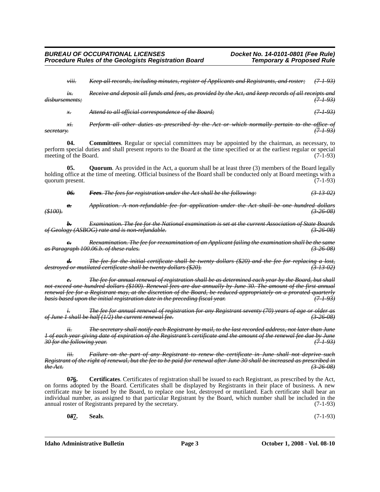*viii. Keep all records, including minutes, register of Applicants and Registrants, and roster; (7-1-93)*

*ix. Receive and deposit all funds and fees, as provided by the Act, and keep records of all receipts and disbursements; (7-1-93)*

*x. Attend to all official correspondence of the Board; (7-1-93)*

*xi. Perform all other duties as prescribed by the Act or which normally pertain to the office of secretary. (7-1-93)*

**04. Committees**. Regular or special committees may be appointed by the chairman, as necessary, to perform special duties and shall present reports to the Board at the time specified or at the earliest regular or special meeting of the Board. (7-1-93)

**05. Quorum**. As provided in the Act, a quorum shall be at least three (3) members of the Board legally holding office at the time of meeting. Official business of the Board shall be conducted only at Board meetings with a quorum present. (7-1-93)

*06. Fees. The fees for registration under the Act shall be the following: (3-13-02)*

*a. Application. A non-refundable fee for application under the Act shall be one hundred dollars (\$100). (3-26-08)*

*b. Examination. The fee for the National examination is set at the current Association of State Boards Geology (ASBOG) rate and is non-refundable.* 

*c. Reexamination. The fee for reexamination of an Applicant failing the examination shall be the same as Paragraph 100.06.b. of these rules. (3-26-08)*

*d. The fee for the initial certificate shall be twenty dollars (\$20) and the fee for replacing a lost, destroyed or mutilated certificate shall be twenty dollars (\$20). (3-13-02)*

*e. The fee for annual renewal of registration shall be as determined each year by the Board, but shall not exceed one hundred dollars (\$100). Renewal fees are due annually by June 30. The amount of the first annual renewal fee for a Registrant may, at the discretion of the Board, be reduced appropriately on a prorated quarterly basis based upon the initial registration date in the preceding fiscal year. (7-1-93)*

*i. The fee for annual renewal of registration for any Registrant seventy (70) years of age or older as of June 1 shall be half (1/2) the current renewal fee. (3-26-08)*

*ii. The secretary shall notify each Registrant by mail, to the last recorded address, not later than June 1 of each year giving date of expiration of the Registrant's certificate and the amount of the renewal fee due by June 30 for the following year. (7-1-93)*

*iii. Failure on the part of any Registrant to renew the certificate in June shall not deprive such Registrant of the right of renewal, but the fee to be paid for renewal after June 30 shall be increased as prescribed in the Act. (3-26-08)*

**0***7***6. Certificates**. Certificates of registration shall be issued to each Registrant, as prescribed by the Act, on forms adopted by the Board. Certificates shall be displayed by Registrants in their place of business. A new certificate may be issued by the Board, to replace one lost, destroyed or mutilated. Each certificate shall bear an individual number, as assigned to that particular Registrant by the Board, which number shall be included in the annual roster of Registrants prepared by the secretary. (7-1-93)

**0***8***7. Seals**. (7-1-93)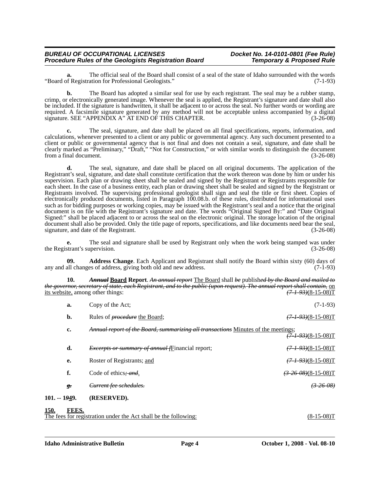#### *BUREAU OF OCCUPATIONAL LICENSES Docket No. 14-0101-0801 (Fee Rule) Procedure Rules of the Geologists Registration Board*

**a.** The official seal of the Board shall consist of a seal of the state of Idaho surrounded with the words of Registration for Professional Geologists." "Board of Registration for Professional Geologists."

**b.** The Board has adopted a similar seal for use by each registrant. The seal may be a rubber stamp, crimp, or electronically generated image. Whenever the seal is applied, the Registrant's signature and date shall also be included. If the signature is handwritten, it shall be adjacent to or across the seal. No further words or wording are required. A facsimile signature generated by any method will not be acceptable unless accompanied by a digital signature. SEE "APPENDIX A" AT END OF THIS CHAPTER. (3-26-08)

**c.** The seal, signature, and date shall be placed on all final specifications, reports, information, and calculations, whenever presented to a client or any public or governmental agency. Any such document presented to a client or public or governmental agency that is not final and does not contain a seal, signature, and date shall be clearly marked as "Preliminary," "Draft," "Not for Construction," or with similar words to distinguish the document from a final document. (3-26-08)

**d.** The seal, signature, and date shall be placed on all original documents. The application of the Registrant's seal, signature, and date shall constitute certification that the work thereon was done by him or under his supervision. Each plan or drawing sheet shall be sealed and signed by the Registrant or Registrants responsible for each sheet. In the case of a business entity, each plan or drawing sheet shall be sealed and signed by the Registrant or Registrants involved. The supervising professional geologist shall sign and seal the title or first sheet. Copies of electronically produced documents, listed in Paragraph 100.08.b. of these rules, distributed for informational uses such as for bidding purposes or working copies, may be issued with the Registrant's seal and a notice that the original document is on file with the Registrant's signature and date. The words "Original Signed By:" and "Date Original Signed:" shall be placed adjacent to or across the seal on the electronic original. The storage location of the original document shall also be provided. Only the title page of reports, specifications, and like documents need bear the seal, signature, and date of the Registrant. (3-26-08)

**e.** The seal and signature shall be used by Registrant only when the work being stamped was under the Registrant's supervision. (3-26-08) (3-26-08)

**09. Address Change**. Each Applicant and Registrant shall notify the Board within sixty (60) days of any and all changes of address, giving both old and new address. (7-1-93)

**10.** *Annual* **Board Report**. *An annual report* The Board shall *be* publish*ed by the Board and mailed to the governor, secretary of state, each Registrant, and to the public (upon request). The annual report shall contain,* on its website, among other things: *(7-1-93)*(8-15-08)T

| 150            | <b>LLLC</b>        |                                                                                   |                              |
|----------------|--------------------|-----------------------------------------------------------------------------------|------------------------------|
| $101. - 1949.$ |                    | (RESERVED).                                                                       |                              |
|                | $g_{\overline{z}}$ | Current fee schedules.                                                            | <del>(3-26-08)</del>         |
|                | f.                 | Code of ethics, and.                                                              | $(3-26-08)(8-15-08)$ T       |
|                | e.                 | Roster of Registrants; and                                                        | $(7 + 93)(8 - 15 - 08)T$     |
|                | d.                 | <i>Excerpts or summary of annual fE</i> inancial report;                          | $(7 - 1 - 93)(8 - 15 - 08)T$ |
|                | c.                 | Annual report of the Board, summarizing all transactions Minutes of the meetings; | $(7 - 1 - 93)(8 - 15 - 08)T$ |
|                | b.                 | Rules of <i>procedure</i> the Board;                                              | $(7 - 1 - 93)(8 - 15 - 08)T$ |
|                | a.                 | Copy of the Act:                                                                  | $(7-1-93)$                   |

**150.** The fees for registration under the Act shall be the following: (8-15-08)T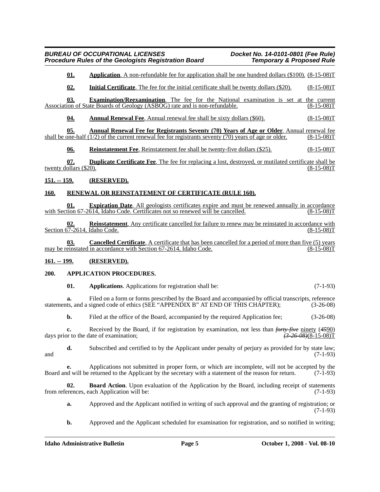**01. Application**. A non-refundable fee for application shall be one hundred dollars (\$100). (8-15-08)T

**02. Initial Certificate**. The fee for the initial certificate shall be twenty dollars (\$20). (8-15-08)T

**03. Examination/Reexamination**. The fee for the National examination is set at the current Association of State Boards of Geology (ASBOG) rate and is non-refundable. (8-15-08) T

**04. Annual Renewal Fee**. Annual renewal fee shall be sixty dollars (\$60). (8-15-08)T

**05. Annual Renewal Fee for Registrants Seventy (70) Years of Age or Older**. Annual renewal fee shall be one-half (1/2) of the current renewal fee for registrants seventy (70) years of age or older. (8-15-08)T  $\frac{1}{2}$  of the current renewal fee for registrants seventy (70) years of age or older. (8-15-08)T

**06. Reinstatement Fee**. Reinstatement fee shall be twenty-five dollars (\$25). (8-15-08)T

**07. Duplicate Certificate Fee**. The fee for replacing a lost, destroyed, or mutilated certificate shall be twenty dollars  $(\$20)$ . (8-15-08)T

# **151. -- 159. (RESERVED).**

# **160. RENEWAL OR REINSTATEMENT OF CERTIFICATE (RULE 160).**

**01. Expiration Date**. All geologists certificates expire and must be renewed annually in accordance with Section  $67-2614$ , Idaho Code. Certificates not so renewed will be cancelled.

**Reinstatement**. Any certificate cancelled for failure to renew may be reinstated in accordance with Idaho Code. (8-15-08)<sup>T</sup> 02. Reinstatem<br>Section 67-2614, Idaho Code.

**03. Cancelled Certificate**. A certificate that has been cancelled for a period of more than five (5) years einstated in accordance with Section 67-2614, Idaho Code. (8-15-08) may be reinstated in accordance with Section 67-2614, Idaho Code.

#### **161. -- 199. (RESERVED).**

#### **200. APPLICATION PROCEDURES.**

**01. Applications**. Applications for registration shall be: (7-1-93)

**a.** Filed on a form or forms prescribed by the Board and accompanied by official transcripts, reference statements, and a signed code of ethics (SEE "APPENDIX B" AT END OF THIS CHAPTER); (3-26-08)

**b.** Filed at the office of the Board, accompanied by the required Application fee; (3-26-08)

**c.** Received by the Board, if for registration by examination, not less than *forty-five* ninety (4590) or to the date of examination;  $\frac{(3-26-08)(8-15-08)T}{2}$ days prior to the date of examination;

**d.** Subscribed and certified to by the Applicant under penalty of perjury as provided for by state law; (7-1-93) and  $(7-1-93)$ 

**e.** Applications not submitted in proper form, or which are incomplete, will not be accepted by the Board and will be returned to the Applicant by the secretary with a statement of the reason for return. (7-1-93)

**02. Board Action**. Upon evaluation of the Application by the Board, including receipt of statements from references, each Application will be: (7-1-93)

**a.** Approved and the Applicant notified in writing of such approval and the granting of registration; or (7-1-93)

**b.** Approved and the Applicant scheduled for examination for registration, and so notified in writing;